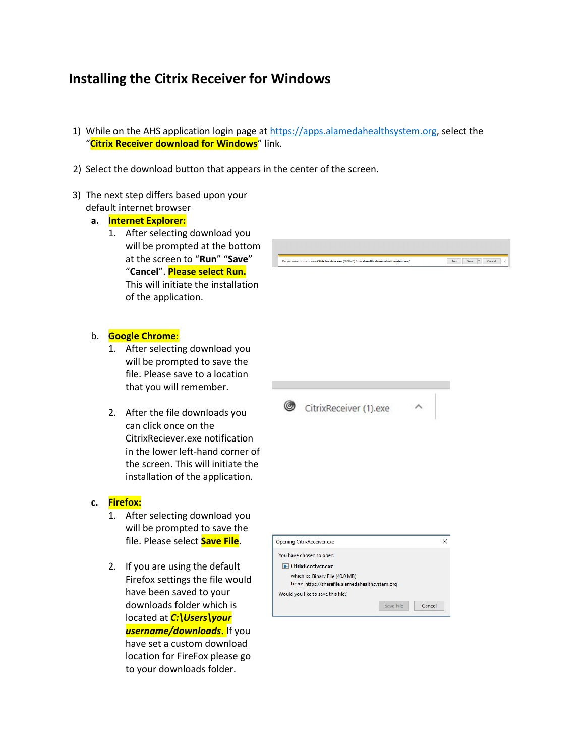## Installing the Citrix Receiver for Windows

1) While on the AHS application login page at https://apps.alamedahealthsystem.org, select the "Citrix Receiver download for Windows" link.

Do you want to run or save CitrixReceiver.exe (39.9 MB) from sharefile.

CitrixReceiver (1).exe

Run Save - Cancel

- 2) Select the download button that appears in the center of the screen.
- 3) The next step differs based upon your default internet browser
	- a. Internet Explorer:
		- 1. After selecting download you will be prompted at the bottom at the screen to "Run" "Save" "Cancel". Please select Run. This will initiate the installation of the application.



- 1. After selecting download you will be prompted to save the file. Please save to a location that you will remember.
- 2. After the file downloads you can click once on the CitrixReciever.exe notification in the lower left-hand corner of the screen. This will initiate the installation of the application.

## c. Firefox:

- 1. After selecting download you will be prompted to save the file. Please select **Save File**.
- 2. If you are using the default Firefox settings the file would have been saved to your downloads folder which is located at *C:\Users\your* username/downloads. If you have set a custom download location for FireFox please go to your downloads folder.